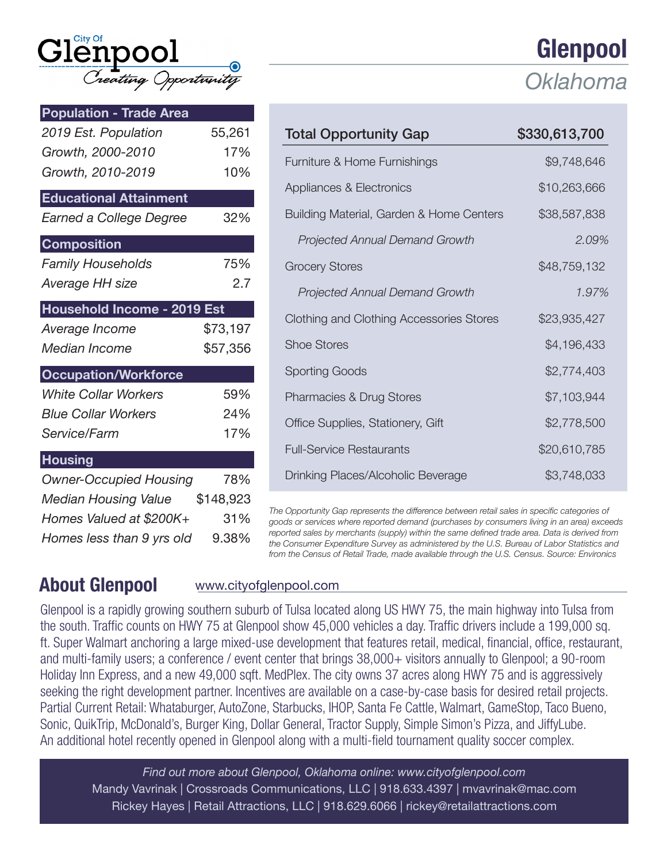| $\operatorname{Gl}^{\scriptscriptstyle\mathsf{City}^{\scriptscriptstyle\mathsf{off}}}_{\scriptscriptstyle\mathsf{C}}$ npool |                      |  |
|-----------------------------------------------------------------------------------------------------------------------------|----------------------|--|
|                                                                                                                             | Creating Opportunity |  |

| <b>Population - Trade Area</b> |          |
|--------------------------------|----------|
| 2019 Est. Population           | 55,261   |
| Growth, 2000-2010              | 17%      |
| Growth, 2010-2019              | 10%      |
| <b>Educational Attainment</b>  |          |
| Earned a College Degree        | 32%      |
| <b>Composition</b>             |          |
| <b>Family Households</b>       | 75%      |
| Average HH size                | 2.7      |
| Household Income - 2019 Est    |          |
| Average Income                 | \$73,197 |
| Median Income                  | \$57,356 |
| <b>Occupation/Workforce</b>    |          |
| <b>White Collar Workers</b>    | 59%      |
| <b>Blue Collar Workers</b>     | 24%      |
| Service/Farm                   | 17%      |
| <b>Housing</b>                 |          |
| <b>Owner-Occupied Housing</b>  | 78%      |
| Median Housing Value \$148,923 |          |
| Homes Valued at \$200K+        | 31%      |
| Homes less than 9 yrs old      | 9.38%    |

|                                          | ulelihaal     |  |
|------------------------------------------|---------------|--|
|                                          | Oklahoma      |  |
| <b>Total Opportunity Gap</b>             | \$330,613,700 |  |
| Furniture & Home Furnishings             | \$9,748,646   |  |
| Appliances & Electronics                 | \$10,263,666  |  |
| Building Material, Garden & Home Centers | \$38,587,838  |  |
| <b>Projected Annual Demand Growth</b>    | 2.09%         |  |
| <b>Grocery Stores</b>                    | \$48,759,132  |  |
| <b>Projected Annual Demand Growth</b>    | 1.97%         |  |
| Clothing and Clothing Accessories Stores | \$23,935,427  |  |
| <b>Shoe Stores</b>                       | \$4,196,433   |  |
| <b>Sporting Goods</b>                    | \$2,774,403   |  |
| Pharmacies & Drug Stores                 | \$7,103,944   |  |
| Office Supplies, Stationery, Gift        | \$2,778,500   |  |
| <b>Full-Service Restaurants</b>          | \$20,610,785  |  |
| Drinking Places/Alcoholic Beverage       | \$3,748,033   |  |

Clanno

*The Opportunity Gap represents the difference between retail sales in specific categories of goods or services where reported demand (purchases by consumers living in an area) exceeds reported sales by merchants (supply) within the same defined trade area. Data is derived from the Consumer Expenditure Survey as administered by the U.S. Bureau of Labor Statistics and from the Census of Retail Trade, made available through the U.S. Census. Source: Environics*

## About Glenpool www.cityofglenpool.com

Glenpool is a rapidly growing southern suburb of Tulsa located along US HWY 75, the main highway into Tulsa from the south. Traffic counts on HWY 75 at Glenpool show 45,000 vehicles a day. Traffic drivers include a 199,000 sq. ft. Super Walmart anchoring a large mixed-use development that features retail, medical, financial, office, restaurant, and multi-family users; a conference / event center that brings 38,000+ visitors annually to Glenpool; a 90-room Holiday Inn Express, and a new 49,000 sqft. MedPlex. The city owns 37 acres along HWY 75 and is aggressively seeking the right development partner. Incentives are available on a case-by-case basis for desired retail projects. Partial Current Retail: Whataburger, AutoZone, Starbucks, IHOP, Santa Fe Cattle, Walmart, GameStop, Taco Bueno, Sonic, QuikTrip, McDonald's, Burger King, Dollar General, Tractor Supply, Simple Simon's Pizza, and JiffyLube. An additional hotel recently opened in Glenpool along with a multi-field tournament quality soccer complex.

*Find out more about Glenpool, Oklahoma online: www.cityofglenpool.com* Mandy Vavrinak | Crossroads Communications, LLC | 918.633.4397 | mvavrinak@mac.com Rickey Hayes | Retail Attractions, LLC | 918.629.6066 | rickey@retailattractions.com